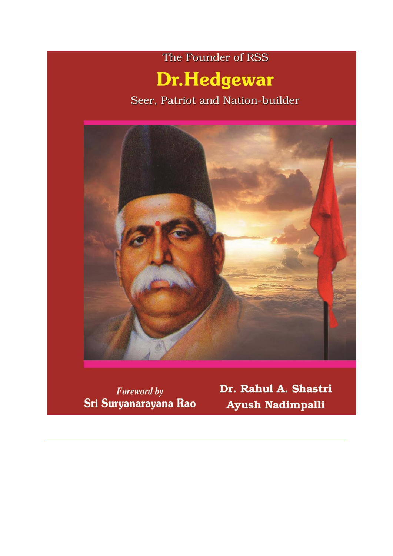# The Founder of RSS **Dr.Hedgewar**

Seer, Patriot and Nation-builder



**Foreword by** Sri Suryanarayana Rao Dr. Rahul A. Shastri Ayush Nadimpalli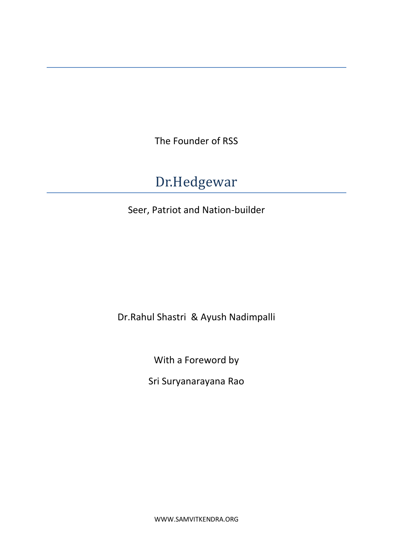The Founder of RSS

# Dr.Hedgewar

Seer, Patriot and Nation-builder

Dr.Rahul Shastri & Ayush Nadimpalli

With a Foreword by

Sri Suryanarayana Rao

WWW.SAMVITKENDRA.ORG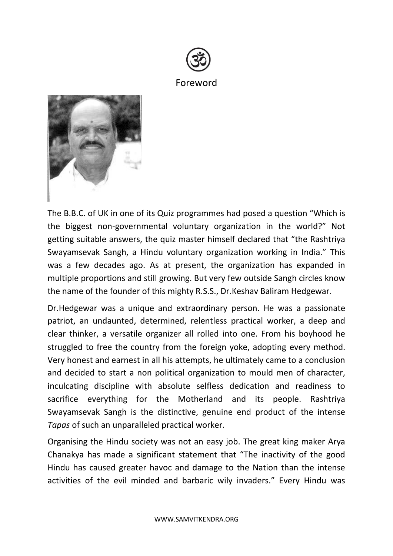



The B.B.C. of UK in one of its Quiz programmes had posed a question "Which is the biggest non-governmental voluntary organization in the world?" Not getting suitable answers, the quiz master himself declared that "the Rashtriya Swayamsevak Sangh, a Hindu voluntary organization working in India." This was a few decades ago. As at present, the organization has expanded in multiple proportions and still growing. But very few outside Sangh circles know the name of the founder of this mighty R.S.S., Dr.Keshav Baliram Hedgewar.

Dr.Hedgewar was a unique and extraordinary person. He was a passionate patriot, an undaunted, determined, relentless practical worker, a deep and clear thinker, a versatile organizer all rolled into one. From his boyhood he struggled to free the country from the foreign yoke, adopting every method. Very honest and earnest in all his attempts, he ultimately came to a conclusion and decided to start a non political organization to mould men of character, inculcating discipline with absolute selfless dedication and readiness to sacrifice everything for the Motherland and its people. Rashtriya Swayamsevak Sangh is the distinctive, genuine end product of the intense *Tapas* of such an unparalleled practical worker.

Organising the Hindu society was not an easy job. The great king maker Arya Chanakya has made a significant statement that "The inactivity of the good Hindu has caused greater havoc and damage to the Nation than the intense activities of the evil minded and barbaric wily invaders." Every Hindu was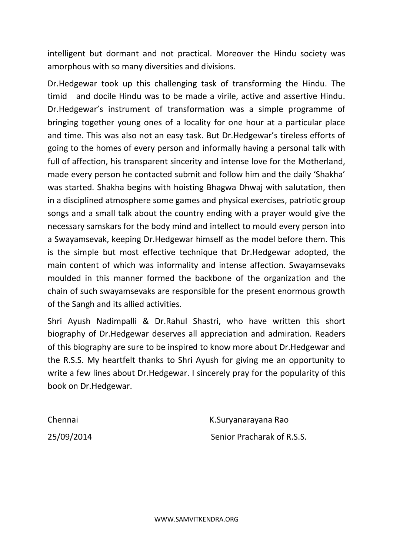intelligent but dormant and not practical. Moreover the Hindu society was amorphous with so many diversities and divisions.

Dr.Hedgewar took up this challenging task of transforming the Hindu. The timid and docile Hindu was to be made a virile, active and assertive Hindu. Dr.Hedgewar's instrument of transformation was a simple programme of bringing together young ones of a locality for one hour at a particular place and time. This was also not an easy task. But Dr.Hedgewar's tireless efforts of going to the homes of every person and informally having a personal talk with full of affection, his transparent sincerity and intense love for the Motherland, made every person he contacted submit and follow him and the daily 'Shakha' was started. Shakha begins with hoisting Bhagwa Dhwaj with salutation, then in a disciplined atmosphere some games and physical exercises, patriotic group songs and a small talk about the country ending with a prayer would give the necessary samskars for the body mind and intellect to mould every person into a Swayamsevak, keeping Dr.Hedgewar himself as the model before them. This is the simple but most effective technique that Dr.Hedgewar adopted, the main content of which was informality and intense affection. Swayamsevaks moulded in this manner formed the backbone of the organization and the chain of such swayamsevaks are responsible for the present enormous growth of the Sangh and its allied activities.

Shri Ayush Nadimpalli & Dr.Rahul Shastri, who have written this short biography of Dr.Hedgewar deserves all appreciation and admiration. Readers of this biography are sure to be inspired to know more about Dr.Hedgewar and the R.S.S. My heartfelt thanks to Shri Ayush for giving me an opportunity to write a few lines about Dr.Hedgewar. I sincerely pray for the popularity of this book on Dr.Hedgewar.

Chennai K.Suryanarayana Rao 25/09/2014 Senior Pracharak of R.S.S.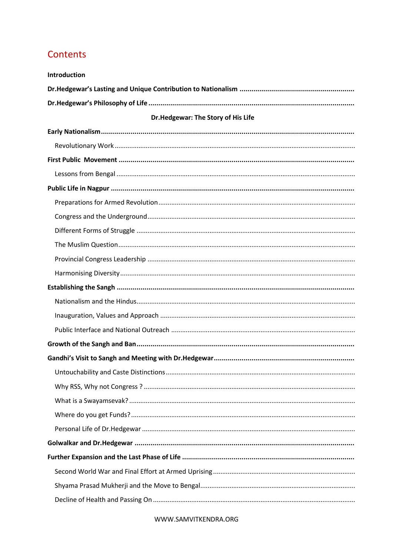# Contents

| Introduction                       |
|------------------------------------|
|                                    |
|                                    |
| Dr.Hedgewar: The Story of His Life |
|                                    |
|                                    |
|                                    |
|                                    |
|                                    |
|                                    |
|                                    |
|                                    |
|                                    |
|                                    |
|                                    |
|                                    |
|                                    |
|                                    |
|                                    |
|                                    |
|                                    |
|                                    |
|                                    |
|                                    |
|                                    |
|                                    |
|                                    |
|                                    |
|                                    |
|                                    |
|                                    |

WWW.SAMVITKENDRA.ORG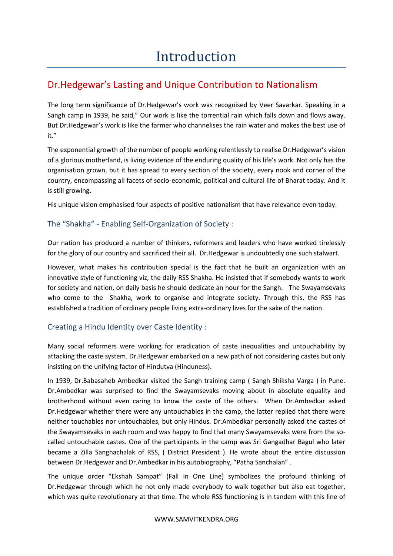# Dr.Hedgewar's Lasting and Unique Contribution to Nationalism

The long term significance of Dr.Hedgewar's work was recognised by Veer Savarkar. Speaking in a Sangh camp in 1939, he said," Our work is like the torrential rain which falls down and flows away. But Dr.Hedgewar's work is like the farmer who channelises the rain water and makes the best use of it."

The exponential growth of the number of people working relentlessly to realise Dr.Hedgewar's vision of a glorious motherland, is living evidence of the enduring quality of his life's work. Not only has the organisation grown, but it has spread to every section of the society, every nook and corner of the country, encompassing all facets of socio-economic, political and cultural life of Bharat today. And it is still growing.

His unique vision emphasised four aspects of positive nationalism that have relevance even today.

# The "Shakha" - Enabling Self-Organization of Society :

Our nation has produced a number of thinkers, reformers and leaders who have worked tirelessly for the glory of our country and sacrificed their all. Dr.Hedgewar is undoubtedly one such stalwart.

However, what makes his contribution special is the fact that he built an organization with an innovative style of functioning viz, the daily RSS Shakha. He insisted that if somebody wants to work for society and nation, on daily basis he should dedicate an hour for the Sangh. The Swayamsevaks who come to the Shakha, work to organise and integrate society. Through this, the RSS has established a tradition of ordinary people living extra-ordinary lives for the sake of the nation.

# Creating a Hindu Identity over Caste Identity :

Many social reformers were working for eradication of caste inequalities and untouchability by attacking the caste system. Dr.Hedgewar embarked on a new path of not considering castes but only insisting on the unifying factor of Hindutva (Hinduness).

In 1939, Dr.Babasaheb Ambedkar visited the Sangh training camp ( Sangh Shiksha Varga ) in Pune. Dr.Ambedkar was surprised to find the Swayamsevaks moving about in absolute equality and brotherhood without even caring to know the caste of the others. When Dr.Ambedkar asked Dr.Hedgewar whether there were any untouchables in the camp, the latter replied that there were neither touchables nor untouchables, but only Hindus. Dr.Ambedkar personally asked the castes of the Swayamsevaks in each room and was happy to find that many Swayamsevaks were from the socalled untouchable castes. One of the participants in the camp was Sri Gangadhar Bagul who later became a Zilla Sanghachalak of RSS, ( District President ). He wrote about the entire discussion between Dr.Hedgewar and Dr.Ambedkar in his autobiography, "Patha Sanchalan" .

The unique order "Ekshah Sampat" (Fall in One Line) symbolizes the profound thinking of Dr.Hedgewar through which he not only made everybody to walk together but also eat together, which was quite revolutionary at that time. The whole RSS functioning is in tandem with this line of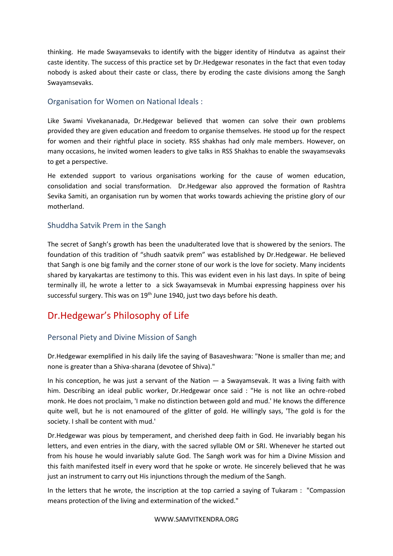thinking. He made Swayamsevaks to identify with the bigger identity of Hindutva as against their caste identity. The success of this practice set by Dr.Hedgewar resonates in the fact that even today nobody is asked about their caste or class, there by eroding the caste divisions among the Sangh Swayamsevaks.

## Organisation for Women on National Ideals :

Like Swami Vivekananada, Dr.Hedgewar believed that women can solve their own problems provided they are given education and freedom to organise themselves. He stood up for the respect for women and their rightful place in society. RSS shakhas had only male members. However, on many occasions, he invited women leaders to give talks in RSS Shakhas to enable the swayamsevaks to get a perspective.

He extended support to various organisations working for the cause of women education, consolidation and social transformation. Dr.Hedgewar also approved the formation of Rashtra Sevika Samiti, an organisation run by women that works towards achieving the pristine glory of our motherland.

## Shuddha Satvik Prem in the Sangh

The secret of Sangh's growth has been the unadulterated love that is showered by the seniors. The foundation of this tradition of "shudh saatvik prem" was established by Dr.Hedgewar. He believed that Sangh is one big family and the corner stone of our work is the love for society. Many incidents shared by karyakartas are testimony to this. This was evident even in his last days. In spite of being terminally ill, he wrote a letter to a sick Swayamsevak in Mumbai expressing happiness over his successful surgery. This was on 19<sup>th</sup> June 1940, just two days before his death.

# Dr.Hedgewar's Philosophy of Life

# Personal Piety and Divine Mission of Sangh

Dr.Hedgewar exemplified in his daily life the saying of Basaveshwara: "None is smaller than me; and none is greater than a Shiva-sharana (devotee of Shiva)."

In his conception, he was just a servant of the Nation — a Swayamsevak. It was a living faith with him. Describing an ideal public worker, Dr.Hedgewar once said : "He is not like an ochre-robed monk. He does not proclaim, 'I make no distinction between gold and mud.' He knows the difference quite well, but he is not enamoured of the glitter of gold. He willingly says, 'The gold is for the society. I shall be content with mud.'

Dr.Hedgewar was pious by temperament, and cherished deep faith in God. He invariably began his letters, and even entries in the diary, with the sacred syllable OM or SRI. Whenever he started out from his house he would invariably salute God. The Sangh work was for him a Divine Mission and this faith manifested itself in every word that he spoke or wrote. He sincerely believed that he was just an instrument to carry out His injunctions through the medium of the Sangh.

In the letters that he wrote, the inscription at the top carried a saying of Tukaram : "Compassion means protection of the living and extermination of the wicked."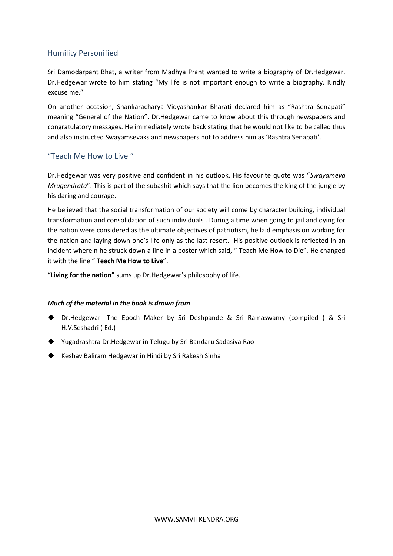# Humility Personified

Sri Damodarpant Bhat, a writer from Madhya Prant wanted to write a biography of Dr.Hedgewar. Dr.Hedgewar wrote to him stating "My life is not important enough to write a biography. Kindly excuse me."

On another occasion, Shankaracharya Vidyashankar Bharati declared him as "Rashtra Senapati" meaning "General of the Nation". Dr.Hedgewar came to know about this through newspapers and congratulatory messages. He immediately wrote back stating that he would not like to be called thus and also instructed Swayamsevaks and newspapers not to address him as 'Rashtra Senapati'.

# "Teach Me How to Live "

Dr.Hedgewar was very positive and confident in his outlook. His favourite quote was "*Swayameva Mrugendrata*". This is part of the subashit which says that the lion becomes the king of the jungle by his daring and courage.

He believed that the social transformation of our society will come by character building, individual transformation and consolidation of such individuals . During a time when going to jail and dying for the nation were considered as the ultimate objectives of patriotism, he laid emphasis on working for the nation and laying down one's life only as the last resort. His positive outlook is reflected in an incident wherein he struck down a line in a poster which said, " Teach Me How to Die". He changed it with the line " **Teach Me How to Live**".

**"Living for the nation"** sums up Dr.Hedgewar's philosophy of life.

#### *Much of the material in the book is drawn from*

- ◆ Dr.Hedgewar- The Epoch Maker by Sri Deshpande & Sri Ramaswamy (compiled ) & Sri H.V.Seshadri ( Ed.)
- ◆ Yugadrashtra Dr.Hedgewar in Telugu by Sri Bandaru Sadasiva Rao
- ◆ Keshav Baliram Hedgewar in Hindi by Sri Rakesh Sinha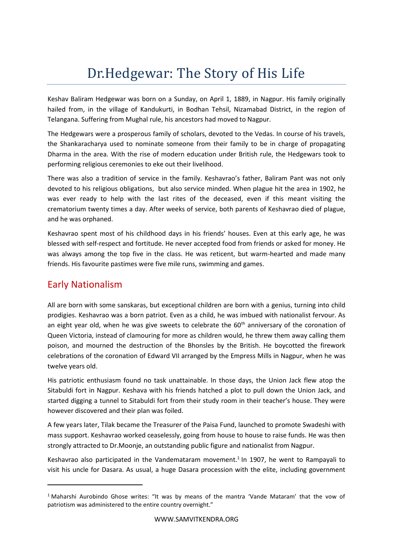# Dr.Hedgewar: The Story of His Life

Keshav Baliram Hedgewar was born on a Sunday, on April 1, 1889, in Nagpur. His family originally hailed from, in the village of Kandukurti, in Bodhan Tehsil, Nizamabad District, in the region of Telangana. Suffering from Mughal rule, his ancestors had moved to Nagpur.

The Hedgewars were a prosperous family of scholars, devoted to the Vedas. In course of his travels, the Shankaracharya used to nominate someone from their family to be in charge of propagating Dharma in the area. With the rise of modern education under British rule, the Hedgewars took to performing religious ceremonies to eke out their livelihood.

There was also a tradition of service in the family. Keshavrao's father, Baliram Pant was not only devoted to his religious obligations, but also service minded. When plague hit the area in 1902, he was ever ready to help with the last rites of the deceased, even if this meant visiting the crematorium twenty times a day. After weeks of service, both parents of Keshavrao died of plague, and he was orphaned.

Keshavrao spent most of his childhood days in his friends' houses. Even at this early age, he was blessed with self-respect and fortitude. He never accepted food from friends or asked for money. He was always among the top five in the class. He was reticent, but warm-hearted and made many friends. His favourite pastimes were five mile runs, swimming and games.

# Early Nationalism

All are born with some sanskaras, but exceptional children are born with a genius, turning into child prodigies. Keshavrao was a born patriot. Even as a child, he was imbued with nationalist fervour. As an eight year old, when he was give sweets to celebrate the  $60<sup>th</sup>$  anniversary of the coronation of Queen Victoria, instead of clamouring for more as children would, he threw them away calling them poison, and mourned the destruction of the Bhonsles by the British. He boycotted the firework celebrations of the coronation of Edward VII arranged by the Empress Mills in Nagpur, when he was twelve years old.

His patriotic enthusiasm found no task unattainable. In those days, the Union Jack flew atop the Sitabuldi fort in Nagpur. Keshava with his friends hatched a plot to pull down the Union Jack, and started digging a tunnel to Sitabuldi fort from their study room in their teacher's house. They were however discovered and their plan was foiled.

A few years later, Tilak became the Treasurer of the Paisa Fund, launched to promote Swadeshi with mass support. Keshavrao worked ceaselessly, going from house to house to raise funds. He was then strongly attracted to Dr.Moonje, an outstanding public figure and nationalist from Nagpur.

Keshavrao also participated in the Vandemataram movement.<sup>1</sup> In 1907, he went to Rampayali to visit his uncle for Dasara. As usual, a huge Dasara procession with the elite, including government

<sup>&</sup>lt;sup>1</sup> Maharshi Aurobindo Ghose writes: "It was by means of the mantra 'Vande Mataram' that the vow of patriotism was administered to the entire country overnight."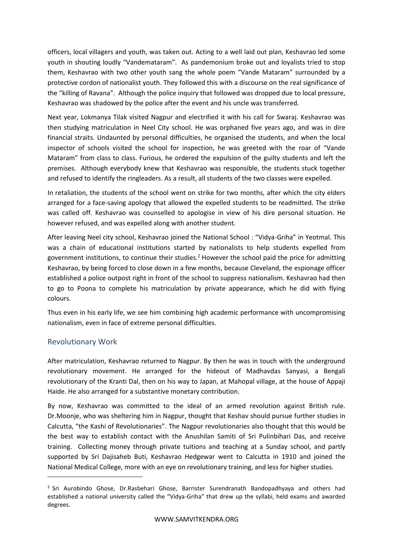officers, local villagers and youth, was taken out. Acting to a well laid out plan, Keshavrao led some youth in shouting loudly "Vandemataram". As pandemonium broke out and loyalists tried to stop them, Keshavrao with two other youth sang the whole poem "Vande Mataram" surrounded by a protective cordon of nationalist youth. They followed this with a discourse on the real significance of the "killing of Ravana". Although the police inquiry that followed was dropped due to local pressure, Keshavrao was shadowed by the police after the event and his uncle was transferred.

Next year, Lokmanya Tilak visited Nagpur and electrified it with his call for Swaraj. Keshavrao was then studying matriculation in Neel City school. He was orphaned five years ago, and was in dire financial straits. Undaunted by personal difficulties, he organised the students, and when the local inspector of schools visited the school for inspection, he was greeted with the roar of "Vande Mataram" from class to class. Furious, he ordered the expulsion of the guilty students and left the premises. Although everybody knew that Keshavrao was responsible, the students stuck together and refused to identify the ringleaders. As a result, all students of the two classes were expelled.

In retaliation, the students of the school went on strike for two months, after which the city elders arranged for a face-saving apology that allowed the expelled students to be readmitted. The strike was called off. Keshavrao was counselled to apologise in view of his dire personal situation. He however refused, and was expelled along with another student.

After leaving Neel city school, Keshavrao joined the National School : "Vidya-Griha" in Yeotmal. This was a chain of educational institutions started by nationalists to help students expelled from government institutions, to continue their studies.<sup>2</sup> However the school paid the price for admitting Keshavrao, by being forced to close down in a few months, because Cleveland, the espionage officer established a police outpost right in front of the school to suppress nationalism. Keshavrao had then to go to Poona to complete his matriculation by private appearance, which he did with flying colours.

Thus even in his early life, we see him combining high academic performance with uncompromising nationalism, even in face of extreme personal difficulties.

# Revolutionary Work

After matriculation, Keshavrao returned to Nagpur. By then he was in touch with the underground revolutionary movement. He arranged for the hideout of Madhavdas Sanyasi, a Bengali revolutionary of the Kranti Dal, then on his way to Japan, at Mahopal village, at the house of Appaji Haide. He also arranged for a substantive monetary contribution.

By now, Keshavrao was committed to the ideal of an armed revolution against British rule. Dr.Moonje, who was sheltering him in Nagpur, thought that Keshav should pursue further studies in Calcutta, "the Kashi of Revolutionaries". The Nagpur revolutionaries also thought that this would be the best way to establish contact with the Anushilan Samiti of Sri Pulinbihari Das, and receive training. Collecting money through private tuitions and teaching at a Sunday school, and partly supported by Sri Dajisaheb Buti, Keshavrao Hedgewar went to Calcutta in 1910 and joined the National Medical College, more with an eye on revolutionary training, and less for higher studies.

<sup>&</sup>lt;sup>2</sup> Sri Aurobindo Ghose, Dr.Rasbehari Ghose, Barrister Surendranath Bandopadhyaya and others had established a national university called the "Vidya-Griha" that drew up the syllabi, held exams and awarded degrees.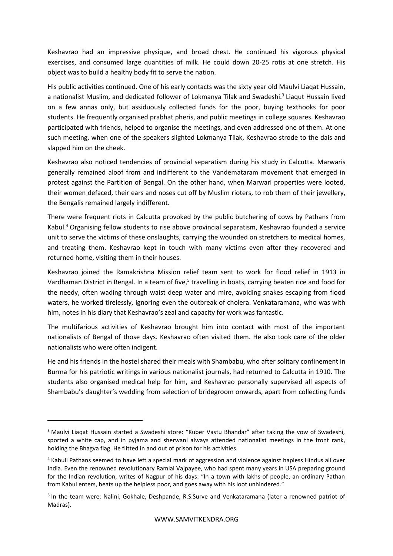Keshavrao had an impressive physique, and broad chest. He continued his vigorous physical exercises, and consumed large quantities of milk. He could down 20-25 rotis at one stretch. His object was to build a healthy body fit to serve the nation.

His public activities continued. One of his early contacts was the sixty year old Maulvi Liaqat Hussain, a nationalist Muslim, and dedicated follower of Lokmanya Tilak and Swadeshi.<sup>3</sup> Liaqut Hussain lived on a few annas only, but assiduously collected funds for the poor, buying texthooks for poor students. He frequently organised prabhat pheris, and public meetings in college squares. Keshavrao participated with friends, helped to organise the meetings, and even addressed one of them. At one such meeting, when one of the speakers slighted Lokmanya Tilak, Keshavrao strode to the dais and slapped him on the cheek.

Keshavrao also noticed tendencies of provincial separatism during his study in Calcutta. Marwaris generally remained aloof from and indifferent to the Vandemataram movement that emerged in protest against the Partition of Bengal. On the other hand, when Marwari properties were looted, their women defaced, their ears and noses cut off by Muslim rioters, to rob them of their jewellery, the Bengalis remained largely indifferent.

There were frequent riots in Calcutta provoked by the public butchering of cows by Pathans from Kabul.<sup>4</sup> Organising fellow students to rise above provincial separatism, Keshavrao founded a service unit to serve the victims of these onslaughts, carrying the wounded on stretchers to medical homes, and treating them. Keshavrao kept in touch with many victims even after they recovered and returned home, visiting them in their houses.

Keshavrao joined the Ramakrishna Mission relief team sent to work for flood relief in 1913 in Vardhaman District in Bengal. In a team of five,<sup>5</sup> travelling in boats, carrying beaten rice and food for the needy, often wading through waist deep water and mire, avoiding snakes escaping from flood waters, he worked tirelessly, ignoring even the outbreak of cholera. Venkataramana, who was with him, notes in his diary that Keshavrao's zeal and capacity for work was fantastic.

The multifarious activities of Keshavrao brought him into contact with most of the important nationalists of Bengal of those days. Keshavrao often visited them. He also took care of the older nationalists who were often indigent.

He and his friends in the hostel shared their meals with Shambabu, who after solitary confinement in Burma for his patriotic writings in various nationalist journals, had returned to Calcutta in 1910. The students also organised medical help for him, and Keshavrao personally supervised all aspects of Shambabu's daughter's wedding from selection of bridegroom onwards, apart from collecting funds

<sup>&</sup>lt;sup>3</sup> Maulvi Liagat Hussain started a Swadeshi store: "Kuber Vastu Bhandar" after taking the vow of Swadeshi, sported a white cap, and in pyjama and sherwani always attended nationalist meetings in the front rank, holding the Bhagva flag. He flitted in and out of prison for his activities.

<sup>4</sup> Kabuli Pathans seemed to have left a special mark of aggression and violence against hapless Hindus all over India. Even the renowned revolutionary Ramlal Vajpayee, who had spent many years in USA preparing ground for the Indian revolution, writes of Nagpur of his days: "In a town with lakhs of people, an ordinary Pathan from Kabul enters, beats up the helpless poor, and goes away with his loot unhindered."

<sup>5</sup> In the team were: Nalini, Gokhale, Deshpande, R.S.Surve and Venkataramana (later a renowned patriot of Madras).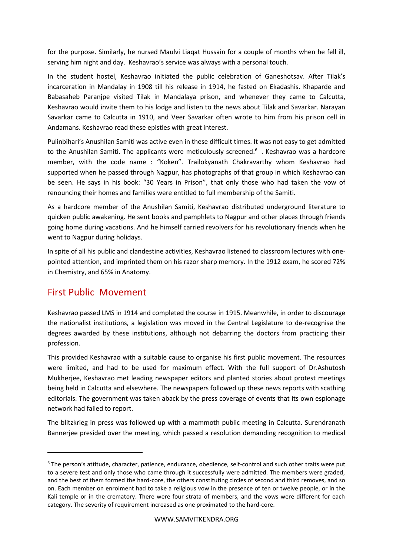for the purpose. Similarly, he nursed Maulvi Liaqat Hussain for a couple of months when he fell ill, serving him night and day. Keshavrao's service was always with a personal touch.

In the student hostel, Keshavrao initiated the public celebration of Ganeshotsav. After Tilak's incarceration in Mandalay in 1908 till his release in 1914, he fasted on Ekadashis. Khaparde and Babasaheb Paranjpe visited Tilak in Mandalaya prison, and whenever they came to Calcutta, Keshavrao would invite them to his lodge and listen to the news about Tilak and Savarkar. Narayan Savarkar came to Calcutta in 1910, and Veer Savarkar often wrote to him from his prison cell in Andamans. Keshavrao read these epistles with great interest.

Pulinbihari's Anushilan Samiti was active even in these difficult times. It was not easy to get admitted to the Anushilan Samiti. The applicants were meticulously screened.<sup>6</sup>. Keshavrao was a hardcore member, with the code name : "Koken". Trailokyanath Chakravarthy whom Keshavrao had supported when he passed through Nagpur, has photographs of that group in which Keshavrao can be seen. He says in his book: "30 Years in Prison", that only those who had taken the vow of renouncing their homes and families were entitled to full membership of the Samiti.

As a hardcore member of the Anushilan Samiti, Keshavrao distributed underground literature to quicken public awakening. He sent books and pamphlets to Nagpur and other places through friends going home during vacations. And he himself carried revolvers for his revolutionary friends when he went to Nagpur during holidays.

In spite of all his public and clandestine activities, Keshavrao listened to classroom lectures with onepointed attention, and imprinted them on his razor sharp memory. In the 1912 exam, he scored 72% in Chemistry, and 65% in Anatomy.

# First Public Movement

Keshavrao passed LMS in 1914 and completed the course in 1915. Meanwhile, in order to discourage the nationalist institutions, a legislation was moved in the Central Legislature to de-recognise the degrees awarded by these institutions, although not debarring the doctors from practicing their profession.

This provided Keshavrao with a suitable cause to organise his first public movement. The resources were limited, and had to be used for maximum effect. With the full support of Dr.Ashutosh Mukherjee, Keshavrao met leading newspaper editors and planted stories about protest meetings being held in Calcutta and elsewhere. The newspapers followed up these news reports with scathing editorials. The government was taken aback by the press coverage of events that its own espionage network had failed to report.

The blitzkrieg in press was followed up with a mammoth public meeting in Calcutta. Surendranath Bannerjee presided over the meeting, which passed a resolution demanding recognition to medical

<sup>6</sup> The person's attitude, character, patience, endurance, obedience, self-control and such other traits were put to a severe test and only those who came through it successfully were admitted. The members were graded, and the best of them formed the hard-core, the others constituting circles of second and third removes, and so on. Each member on enrolment had to take a religious vow in the presence of ten or twelve people, or in the Kali temple or in the crematory. There were four strata of members, and the vows were different for each category. The severity of requirement increased as one proximated to the hard-core.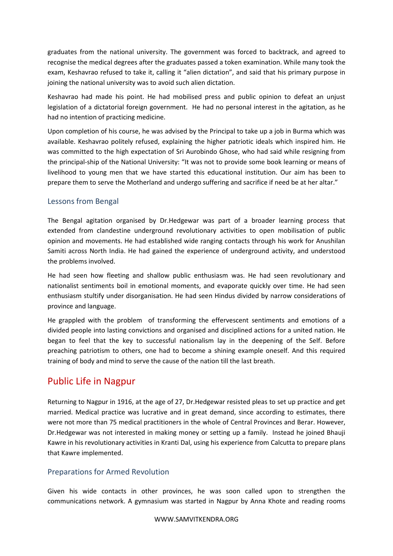graduates from the national university. The government was forced to backtrack, and agreed to recognise the medical degrees after the graduates passed a token examination. While many took the exam, Keshavrao refused to take it, calling it "alien dictation", and said that his primary purpose in joining the national university was to avoid such alien dictation.

Keshavrao had made his point. He had mobilised press and public opinion to defeat an unjust legislation of a dictatorial foreign government. He had no personal interest in the agitation, as he had no intention of practicing medicine.

Upon completion of his course, he was advised by the Principal to take up a job in Burma which was available. Keshavrao politely refused, explaining the higher patriotic ideals which inspired him. He was committed to the high expectation of Sri Aurobindo Ghose, who had said while resigning from the principal-ship of the National University: "It was not to provide some book learning or means of livelihood to young men that we have started this educational institution. Our aim has been to prepare them to serve the Motherland and undergo suffering and sacrifice if need be at her altar."

# Lessons from Bengal

The Bengal agitation organised by Dr.Hedgewar was part of a broader learning process that extended from clandestine underground revolutionary activities to open mobilisation of public opinion and movements. He had established wide ranging contacts through his work for Anushilan Samiti across North India. He had gained the experience of underground activity, and understood the problems involved.

He had seen how fleeting and shallow public enthusiasm was. He had seen revolutionary and nationalist sentiments boil in emotional moments, and evaporate quickly over time. He had seen enthusiasm stultify under disorganisation. He had seen Hindus divided by narrow considerations of province and language.

He grappled with the problem of transforming the effervescent sentiments and emotions of a divided people into lasting convictions and organised and disciplined actions for a united nation. He began to feel that the key to successful nationalism lay in the deepening of the Self. Before preaching patriotism to others, one had to become a shining example oneself. And this required training of body and mind to serve the cause of the nation till the last breath.

# Public Life in Nagpur

Returning to Nagpur in 1916, at the age of 27, Dr.Hedgewar resisted pleas to set up practice and get married. Medical practice was lucrative and in great demand, since according to estimates, there were not more than 75 medical practitioners in the whole of Central Provinces and Berar. However, Dr.Hedgewar was not interested in making money or setting up a family. Instead he joined Bhauji Kawre in his revolutionary activities in Kranti Dal, using his experience from Calcutta to prepare plans that Kawre implemented.

# Preparations for Armed Revolution

Given his wide contacts in other provinces, he was soon called upon to strengthen the communications network. A gymnasium was started in Nagpur by Anna Khote and reading rooms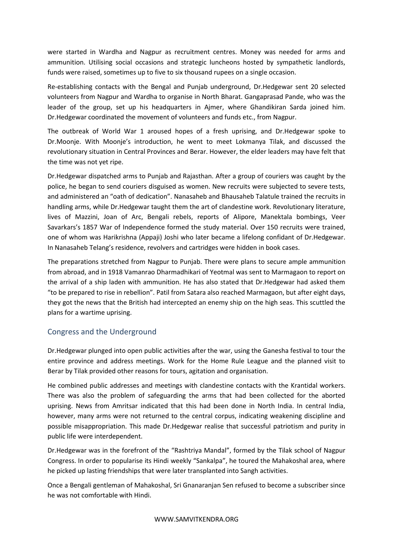were started in Wardha and Nagpur as recruitment centres. Money was needed for arms and ammunition. Utilising social occasions and strategic luncheons hosted by sympathetic landlords, funds were raised, sometimes up to five to six thousand rupees on a single occasion.

Re-establishing contacts with the Bengal and Punjab underground, Dr.Hedgewar sent 20 selected volunteers from Nagpur and Wardha to organise in North Bharat. Gangaprasad Pande, who was the leader of the group, set up his headquarters in Ajmer, where Ghandikiran Sarda joined him. Dr.Hedgewar coordinated the movement of volunteers and funds etc., from Nagpur.

The outbreak of World War 1 aroused hopes of a fresh uprising, and Dr.Hedgewar spoke to Dr.Moonje. With Moonje's introduction, he went to meet Lokmanya Tilak, and discussed the revolutionary situation in Central Provinces and Berar. However, the elder leaders may have felt that the time was not yet ripe.

Dr.Hedgewar dispatched arms to Punjab and Rajasthan. After a group of couriers was caught by the police, he began to send couriers disguised as women. New recruits were subjected to severe tests, and administered an "oath of dedication". Nanasaheb and Bhausaheb Talatule trained the recruits in handling arms, while Dr.Hedgewar taught them the art of clandestine work. Revolutionary literature, lives of Mazzini, Joan of Arc, Bengali rebels, reports of Alipore, Manektala bombings, Veer Savarkars's 1857 War of Independence formed the study material. Over 150 recruits were trained, one of whom was Harikrishna (Appaji) Joshi who later became a lifelong confidant of Dr.Hedgewar. In Nanasaheb Telang's residence, revolvers and cartridges were hidden in book cases.

The preparations stretched from Nagpur to Punjab. There were plans to secure ample ammunition from abroad, and in 1918 Vamanrao Dharmadhikari of Yeotmal was sent to Marmagaon to report on the arrival of a ship laden with ammunition. He has also stated that Dr.Hedgewar had asked them "to be prepared to rise in rebellion". Patil from Satara also reached Marmagaon, but after eight days, they got the news that the British had intercepted an enemy ship on the high seas. This scuttled the plans for a wartime uprising.

# Congress and the Underground

Dr.Hedgewar plunged into open public activities after the war, using the Ganesha festival to tour the entire province and address meetings. Work for the Home Rule League and the planned visit to Berar by Tilak provided other reasons for tours, agitation and organisation.

He combined public addresses and meetings with clandestine contacts with the Krantidal workers. There was also the problem of safeguarding the arms that had been collected for the aborted uprising. News from Amritsar indicated that this had been done in North India. In central India, however, many arms were not returned to the central corpus, indicating weakening discipline and possible misappropriation. This made Dr.Hedgewar realise that successful patriotism and purity in public life were interdependent.

Dr.Hedgewar was in the forefront of the "Rashtriya Mandal", formed by the Tilak school of Nagpur Congress. In order to popularise its Hindi weekly "Sankalpa", he toured the Mahakoshal area, where he picked up lasting friendships that were later transplanted into Sangh activities.

Once a Bengali gentleman of Mahakoshal, Sri Gnanaranjan Sen refused to become a subscriber since he was not comfortable with Hindi.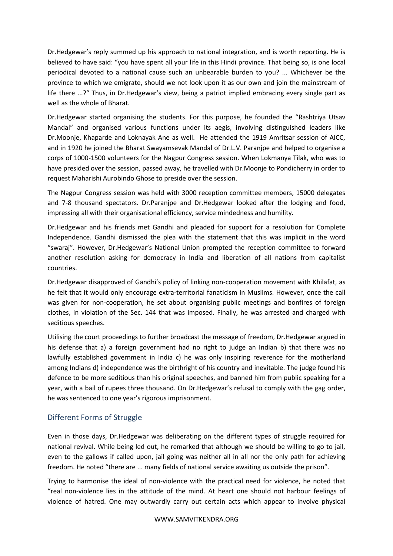Dr.Hedgewar's reply summed up his approach to national integration, and is worth reporting. He is believed to have said: "you have spent all your life in this Hindi province. That being so, is one local periodical devoted to a national cause such an unbearable burden to you? ... Whichever be the province to which we emigrate, should we not look upon it as our own and join the mainstream of life there ...?" Thus, in Dr.Hedgewar's view, being a patriot implied embracing every single part as well as the whole of Bharat.

Dr.Hedgewar started organising the students. For this purpose, he founded the "Rashtriya Utsav Mandal" and organised various functions under its aegis, involving distinguished leaders like Dr.Moonje, Khaparde and Loknayak Ane as well. He attended the 1919 Amritsar session of AICC, and in 1920 he joined the Bharat Swayamsevak Mandal of Dr.L.V. Paranjpe and helped to organise a corps of 1000-1500 volunteers for the Nagpur Congress session. When Lokmanya Tilak, who was to have presided over the session, passed away, he travelled with Dr.Moonje to Pondicherry in order to request Maharishi Aurobindo Ghose to preside over the session.

The Nagpur Congress session was held with 3000 reception committee members, 15000 delegates and 7-8 thousand spectators. Dr.Paranjpe and Dr.Hedgewar looked after the lodging and food, impressing all with their organisational efficiency, service mindedness and humility.

Dr.Hedgewar and his friends met Gandhi and pleaded for support for a resolution for Complete Independence. Gandhi dismissed the plea with the statement that this was implicit in the word "swaraj". However, Dr.Hedgewar's National Union prompted the reception committee to forward another resolution asking for democracy in India and liberation of all nations from capitalist countries.

Dr.Hedgewar disapproved of Gandhi's policy of linking non-cooperation movement with Khilafat, as he felt that it would only encourage extra-territorial fanaticism in Muslims. However, once the call was given for non-cooperation, he set about organising public meetings and bonfires of foreign clothes, in violation of the Sec. 144 that was imposed. Finally, he was arrested and charged with seditious speeches.

Utilising the court proceedings to further broadcast the message of freedom, Dr.Hedgewar argued in his defense that a) a foreign government had no right to judge an Indian b) that there was no lawfully established government in India c) he was only inspiring reverence for the motherland among Indians d) independence was the birthright of his country and inevitable. The judge found his defence to be more seditious than his original speeches, and banned him from public speaking for a year, with a bail of rupees three thousand. On Dr.Hedgewar's refusal to comply with the gag order, he was sentenced to one year's rigorous imprisonment.

# Different Forms of Struggle

Even in those days, Dr.Hedgewar was deliberating on the different types of struggle required for national revival. While being led out, he remarked that although we should be willing to go to jail, even to the gallows if called upon, jail going was neither all in all nor the only path for achieving freedom. He noted "there are ... many fields of national service awaiting us outside the prison".

Trying to harmonise the ideal of non-violence with the practical need for violence, he noted that "real non-violence lies in the attitude of the mind. At heart one should not harbour feelings of violence of hatred. One may outwardly carry out certain acts which appear to involve physical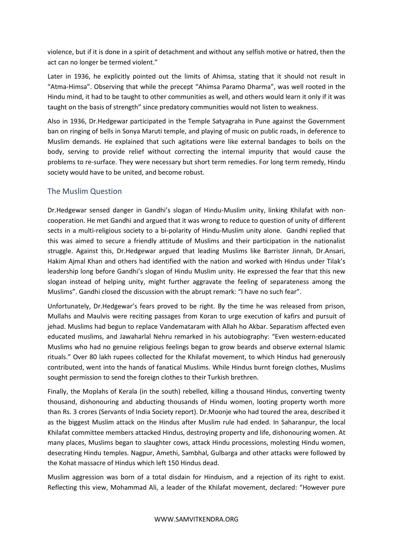violence, but if it is done in a spirit of detachment and without any selfish motive or hatred, then the act can no longer be termed violent."

Later in 1936, he explicitly pointed out the limits of Ahimsa, stating that it should not result in "Atma-Himsa". Observing that while the precept "Ahimsa Paramo Dharma", was well rooted in the Hindu mind, it had to be taught to other communities as well, and others would learn it only if it was taught on the basis of strength" since predatory communities would not listen to weakness.

Also in 1936, Dr.Hedgewar participated in the Temple Satyagraha in Pune against the Government ban on ringing of bells in Sonya Maruti temple, and playing of music on public roads, in deference to Muslim demands. He explained that such agitations were like external bandages to boils on the body, serving to provide relief without correcting the internal impurity that would cause the problems to re-surface. They were necessary but short term remedies. For long term remedy, Hindu society would have to be united, and become robust.

# The Muslim Question

Dr.Hedgewar sensed danger in Gandhi's slogan of Hindu-Muslim unity, linking Khilafat with noncooperation. He met Gandhi and argued that it was wrong to reduce to question of unity of different sects in a multi-religious society to a bi-polarity of Hindu-Muslim unity alone. Gandhi replied that this was aimed to secure a friendly attitude of Muslims and their participation in the nationalist struggle. Against this, Dr.Hedgewar argued that leading Muslims like Barrister Jinnah, Dr.Ansari, Hakim Ajmal Khan and others had identified with the nation and worked with Hindus under Tilak's leadership long before Gandhi's slogan of Hindu Muslim unity. He expressed the fear that this new slogan instead of helping unity, might further aggravate the feeling of separateness among the Muslims". Gandhi closed the discussion with the abrupt remark: "I have no such fear".

Unfortunately, Dr.Hedgewar's fears proved to be right. By the time he was released from prison, Mullahs and Maulvis were reciting passages from Koran to urge execution of kafirs and pursuit of jehad. Muslims had begun to replace Vandemataram with Allah ho Akbar. Separatism affected even educated muslims, and Jawaharlal Nehru remarked in his autobiography: "Even western-educated Muslims who had no genuine religious feelings began to grow beards and observe external Islamic rituals." Over 80 lakh rupees collected for the Khilafat movement, to which Hindus had generously contributed, went into the hands of fanatical Muslims. While Hindus burnt foreign clothes, Muslims sought permission to send the foreign clothes to their Turkish brethren.

Finally, the Moplahs of Kerala (in the south) rebelled, killing a thousand Hindus, converting twenty thousand, dishonouring and abducting thousands of Hindu women, looting property worth more than Rs. 3 crores (Servants of India Society report). Dr.Moonje who had toured the area, described it as the biggest Muslim attack on the Hindus after Muslim rule had ended. In Saharanpur, the local Khilafat committee members attacked Hindus, destroying property and life, dishonouring women. At many places, Muslims began to slaughter cows, attack Hindu processions, molesting Hindu women, desecrating Hindu temples. Nagpur, Amethi, Sambhal, Gulbarga and other attacks were followed by the Kohat massacre of Hindus which left 150 Hindus dead.

Muslim aggression was born of a total disdain for Hinduism, and a rejection of its right to exist. Reflecting this view, Mohammad Ali, a leader of the Khilafat movement, declared: "However pure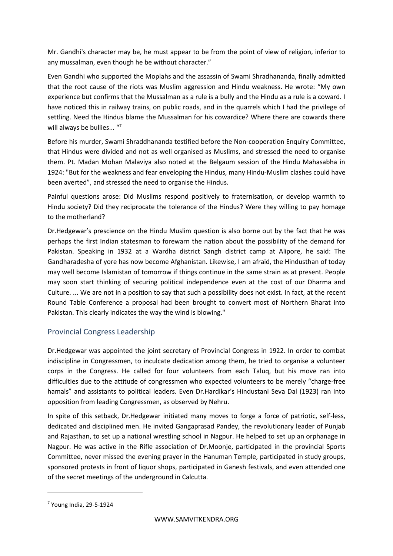Mr. Gandhi's character may be, he must appear to be from the point of view of religion, inferior to any mussalman, even though he be without character."

Even Gandhi who supported the Moplahs and the assassin of Swami Shradhananda, finally admitted that the root cause of the riots was Muslim aggression and Hindu weakness. He wrote: "My own experience but confirms that the Mussalman as a rule is a bully and the Hindu as a rule is a coward. I have noticed this in railway trains, on public roads, and in the quarrels which I had the privilege of settling. Need the Hindus blame the Mussalman for his cowardice? Where there are cowards there will always be bullies... "7

Before his murder, Swami Shraddhananda testified before the Non-cooperation Enquiry Committee, that Hindus were divided and not as well organised as Muslims, and stressed the need to organise them. Pt. Madan Mohan Malaviya also noted at the Belgaum session of the Hindu Mahasabha in 1924: "But for the weakness and fear enveloping the Hindus, many Hindu-Muslim clashes could have been averted", and stressed the need to organise the Hindus.

Painful questions arose: Did Muslims respond positively to fraternisation, or develop warmth to Hindu society? Did they reciprocate the tolerance of the Hindus? Were they willing to pay homage to the motherland?

Dr.Hedgewar's prescience on the Hindu Muslim question is also borne out by the fact that he was perhaps the first Indian statesman to forewarn the nation about the possibility of the demand for Pakistan. Speaking in 1932 at a Wardha district Sangh district camp at Alipore, he said: The Gandharadesha of yore has now become Afghanistan. Likewise, I am afraid, the Hindusthan of today may well become Islamistan of tomorrow if things continue in the same strain as at present. People may soon start thinking of securing political independence even at the cost of our Dharma and Culture. ... We are not in a position to say that such a possibility does not exist. In fact, at the recent Round Table Conference a proposal had been brought to convert most of Northern Bharat into Pakistan. This clearly indicates the way the wind is blowing."

# Provincial Congress Leadership

Dr.Hedgewar was appointed the joint secretary of Provincial Congress in 1922. In order to combat indiscipline in Congressmen, to inculcate dedication among them, he tried to organise a volunteer corps in the Congress. He called for four volunteers from each Taluq, but his move ran into difficulties due to the attitude of congressmen who expected volunteers to be merely "charge-free hamals" and assistants to political leaders. Even Dr.Hardikar's Hindustani Seva Dal (1923) ran into opposition from leading Congressmen, as observed by Nehru.

In spite of this setback, Dr.Hedgewar initiated many moves to forge a force of patriotic, self-less, dedicated and disciplined men. He invited Gangaprasad Pandey, the revolutionary leader of Punjab and Rajasthan, to set up a national wrestling school in Nagpur. He helped to set up an orphanage in Nagpur. He was active in the Rifle association of Dr.Moonje, participated in the provincial Sports Committee, never missed the evening prayer in the Hanuman Temple, participated in study groups, sponsored protests in front of liquor shops, participated in Ganesh festivals, and even attended one of the secret meetings of the underground in Calcutta.

<sup>7</sup> Young India, 29-5-1924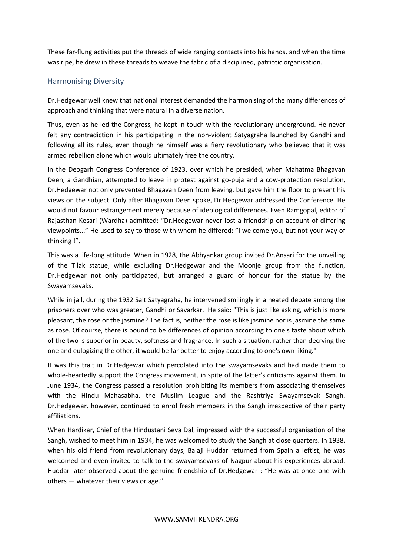These far-flung activities put the threads of wide ranging contacts into his hands, and when the time was ripe, he drew in these threads to weave the fabric of a disciplined, patriotic organisation.

## Harmonising Diversity

Dr.Hedgewar well knew that national interest demanded the harmonising of the many differences of approach and thinking that were natural in a diverse nation.

Thus, even as he led the Congress, he kept in touch with the revolutionary underground. He never felt any contradiction in his participating in the non-violent Satyagraha launched by Gandhi and following all its rules, even though he himself was a fiery revolutionary who believed that it was armed rebellion alone which would ultimately free the country.

In the Deogarh Congress Conference of 1923, over which he presided, when Mahatma Bhagavan Deen, a Gandhian, attempted to leave in protest against go-puja and a cow-protection resolution, Dr.Hedgewar not only prevented Bhagavan Deen from leaving, but gave him the floor to present his views on the subject. Only after Bhagavan Deen spoke, Dr.Hedgewar addressed the Conference. He would not favour estrangement merely because of ideological differences. Even Ramgopal, editor of Rajasthan Kesari (Wardha) admitted: "Dr.Hedgewar never lost a friendship on account of differing viewpoints..." He used to say to those with whom he differed: "I welcome you, but not your way of thinking !".

This was a life-long attitude. When in 1928, the Abhyankar group invited Dr.Ansari for the unveiling of the Tilak statue, while excluding Dr.Hedgewar and the Moonje group from the function, Dr.Hedgewar not only participated, but arranged a guard of honour for the statue by the Swayamsevaks.

While in jail, during the 1932 Salt Satyagraha, he intervened smilingly in a heated debate among the prisoners over who was greater, Gandhi or Savarkar. He said: "This is just like asking, which is more pleasant, the rose or the jasmine? The fact is, neither the rose is like jasmine nor is jasmine the same as rose. Of course, there is bound to be differences of opinion according to one's taste about which of the two is superior in beauty, softness and fragrance. In such a situation, rather than decrying the one and eulogizing the other, it would be far better to enjoy according to one's own liking."

It was this trait in Dr.Hedgewar which percolated into the swayamsevaks and had made them to whole-heartedly support the Congress movement, in spite of the latter's criticisms against them. In June 1934, the Congress passed a resolution prohibiting its members from associating themselves with the Hindu Mahasabha, the Muslim League and the Rashtriya Swayamsevak Sangh. Dr.Hedgewar, however, continued to enrol fresh members in the Sangh irrespective of their party affiliations.

When Hardikar, Chief of the Hindustani Seva Dal, impressed with the successful organisation of the Sangh, wished to meet him in 1934, he was welcomed to study the Sangh at close quarters. In 1938, when his old friend from revolutionary days, Balaji Huddar returned from Spain a leftist, he was welcomed and even invited to talk to the swayamsevaks of Nagpur about his experiences abroad. Huddar later observed about the genuine friendship of Dr.Hedgewar : "He was at once one with others — whatever their views or age."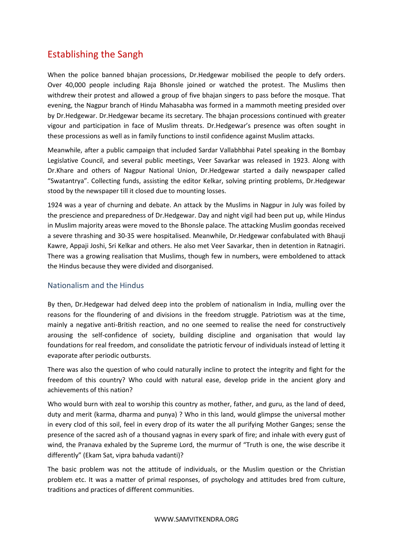# Establishing the Sangh

When the police banned bhajan processions, Dr.Hedgewar mobilised the people to defy orders. Over 40,000 people including Raja Bhonsle joined or watched the protest. The Muslims then withdrew their protest and allowed a group of five bhajan singers to pass before the mosque. That evening, the Nagpur branch of Hindu Mahasabha was formed in a mammoth meeting presided over by Dr.Hedgewar. Dr.Hedgewar became its secretary. The bhajan processions continued with greater vigour and participation in face of Muslim threats. Dr.Hedgewar's presence was often sought in these processions as well as in family functions to instil confidence against Muslim attacks.

Meanwhile, after a public campaign that included Sardar Vallabhbhai Patel speaking in the Bombay Legislative Council, and several public meetings, Veer Savarkar was released in 1923. Along with Dr.Khare and others of Nagpur National Union, Dr.Hedgewar started a daily newspaper called "Swatantrya". Collecting funds, assisting the editor Kelkar, solving printing problems, Dr.Hedgewar stood by the newspaper till it closed due to mounting losses.

1924 was a year of churning and debate. An attack by the Muslims in Nagpur in July was foiled by the prescience and preparedness of Dr.Hedgewar. Day and night vigil had been put up, while Hindus in Muslim majority areas were moved to the Bhonsle palace. The attacking Muslim goondas received a severe thrashing and 30-35 were hospitalised. Meanwhile, Dr.Hedgewar confabulated with Bhauji Kawre, Appaji Joshi, Sri Kelkar and others. He also met Veer Savarkar, then in detention in Ratnagiri. There was a growing realisation that Muslims, though few in numbers, were emboldened to attack the Hindus because they were divided and disorganised.

# Nationalism and the Hindus

By then, Dr.Hedgewar had delved deep into the problem of nationalism in India, mulling over the reasons for the floundering of and divisions in the freedom struggle. Patriotism was at the time, mainly a negative anti-British reaction, and no one seemed to realise the need for constructively arousing the self-confidence of society, building discipline and organisation that would lay foundations for real freedom, and consolidate the patriotic fervour of individuals instead of letting it evaporate after periodic outbursts.

There was also the question of who could naturally incline to protect the integrity and fight for the freedom of this country? Who could with natural ease, develop pride in the ancient glory and achievements of this nation?

Who would burn with zeal to worship this country as mother, father, and guru, as the land of deed, duty and merit (karma, dharma and punya) ? Who in this land, would glimpse the universal mother in every clod of this soil, feel in every drop of its water the all purifying Mother Ganges; sense the presence of the sacred ash of a thousand yagnas in every spark of fire; and inhale with every gust of wind, the Pranava exhaled by the Supreme Lord, the murmur of "Truth is one, the wise describe it differently" (Ekam Sat, vipra bahuda vadanti)?

The basic problem was not the attitude of individuals, or the Muslim question or the Christian problem etc. It was a matter of primal responses, of psychology and attitudes bred from culture, traditions and practices of different communities.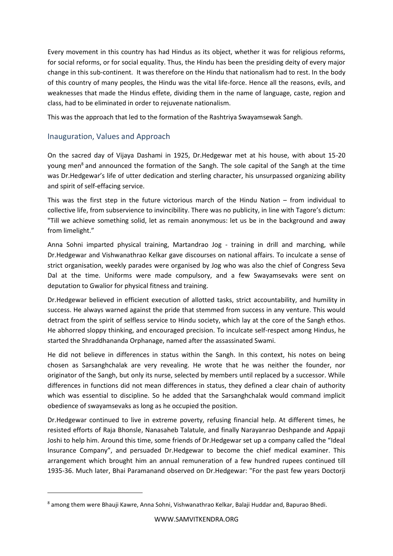Every movement in this country has had Hindus as its object, whether it was for religious reforms, for social reforms, or for social equality. Thus, the Hindu has been the presiding deity of every major change in this sub-continent. It was therefore on the Hindu that nationalism had to rest. In the body of this country of many peoples, the Hindu was the vital life-force. Hence all the reasons, evils, and weaknesses that made the Hindus effete, dividing them in the name of language, caste, region and class, had to be eliminated in order to rejuvenate nationalism.

This was the approach that led to the formation of the Rashtriya Swayamsewak Sangh.

# Inauguration, Values and Approach

On the sacred day of Vijaya Dashami in 1925, Dr.Hedgewar met at his house, with about 15-20 young men<sup>8</sup> and announced the formation of the Sangh. The sole capital of the Sangh at the time was Dr.Hedgewar's life of utter dedication and sterling character, his unsurpassed organizing ability and spirit of self-effacing service.

This was the first step in the future victorious march of the Hindu Nation – from individual to collective life, from subservience to invincibility. There was no publicity, in line with Tagore's dictum: "Till we achieve something solid, let as remain anonymous: let us be in the background and away from limelight."

Anna Sohni imparted physical training, Martandrao Jog - training in drill and marching, while Dr.Hedgewar and Vishwanathrao Kelkar gave discourses on national affairs. To inculcate a sense of strict organisation, weekly parades were organised by Jog who was also the chief of Congress Seva Dal at the time. Uniforms were made compulsory, and a few Swayamsevaks were sent on deputation to Gwalior for physical fitness and training.

Dr.Hedgewar believed in efficient execution of allotted tasks, strict accountability, and humility in success. He always warned against the pride that stemmed from success in any venture. This would detract from the spirit of selfless service to Hindu society, which lay at the core of the Sangh ethos. He abhorred sloppy thinking, and encouraged precision. To inculcate self-respect among Hindus, he started the Shraddhananda Orphanage, named after the assassinated Swami.

He did not believe in differences in status within the Sangh. In this context, his notes on being chosen as Sarsanghchalak are very revealing. He wrote that he was neither the founder, nor originator of the Sangh, but only its nurse, selected by members until replaced by a successor. While differences in functions did not mean differences in status, they defined a clear chain of authority which was essential to discipline. So he added that the Sarsanghchalak would command implicit obedience of swayamsevaks as long as he occupied the position.

Dr.Hedgewar continued to live in extreme poverty, refusing financial help. At different times, he resisted efforts of Raja Bhonsle, Nanasaheb Talatule, and finally Narayanrao Deshpande and Appaji Joshi to help him. Around this time, some friends of Dr.Hedgewar set up a company called the "Ideal Insurance Company", and persuaded Dr.Hedgewar to become the chief medical examiner. This arrangement which brought him an annual remuneration of a few hundred rupees continued till 1935-36. Much later, Bhai Paramanand observed on Dr.Hedgewar: "For the past few years Doctorji

<sup>&</sup>lt;sup>8</sup> among them were Bhauji Kawre, Anna Sohni, Vishwanathrao Kelkar, Balaji Huddar and, Bapurao Bhedi.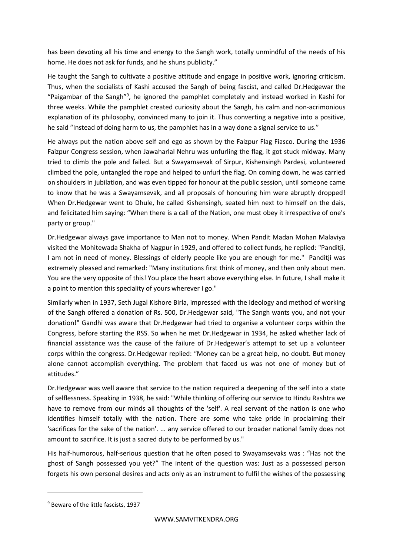has been devoting all his time and energy to the Sangh work, totally unmindful of the needs of his home. He does not ask for funds, and he shuns publicity."

He taught the Sangh to cultivate a positive attitude and engage in positive work, ignoring criticism. Thus, when the socialists of Kashi accused the Sangh of being fascist, and called Dr.Hedgewar the "Paigambar of the Sangh"<sup>9</sup>, he ignored the pamphlet completely and instead worked in Kashi for three weeks. While the pamphlet created curiosity about the Sangh, his calm and non-acrimonious explanation of its philosophy, convinced many to join it. Thus converting a negative into a positive, he said "Instead of doing harm to us, the pamphlet has in a way done a signal service to us."

He always put the nation above self and ego as shown by the Faizpur Flag Fiasco. During the 1936 Faizpur Congress session, when Jawaharlal Nehru was unfurling the flag, it got stuck midway. Many tried to climb the pole and failed. But a Swayamsevak of Sirpur, Kishensingh Pardesi, volunteered climbed the pole, untangled the rope and helped to unfurl the flag. On coming down, he was carried on shoulders in jubilation, and was even tipped for honour at the public session, until someone came to know that he was a Swayamsevak, and all proposals of honouring him were abruptly dropped! When Dr.Hedgewar went to Dhule, he called Kishensingh, seated him next to himself on the dais, and felicitated him saying: "When there is a call of the Nation, one must obey it irrespective of one's party or group."

Dr.Hedgewar always gave importance to Man not to money. When Pandit Madan Mohan Malaviya visited the Mohitewada Shakha of Nagpur in 1929, and offered to collect funds, he replied: "Panditji, I am not in need of money. Blessings of elderly people like you are enough for me." Panditji was extremely pleased and remarked: "Many institutions first think of money, and then only about men. You are the very opposite of this! You place the heart above everything else. In future, I shall make it a point to mention this speciality of yours wherever I go."

Similarly when in 1937, Seth Jugal Kishore Birla, impressed with the ideology and method of working of the Sangh offered a donation of Rs. 500, Dr.Hedgewar said, "The Sangh wants you, and not your donation!" Gandhi was aware that Dr.Hedgewar had tried to organise a volunteer corps within the Congress, before starting the RSS. So when he met Dr.Hedgewar in 1934, he asked whether lack of financial assistance was the cause of the failure of Dr.Hedgewar's attempt to set up a volunteer corps within the congress. Dr.Hedgewar replied: "Money can be a great help, no doubt. But money alone cannot accomplish everything. The problem that faced us was not one of money but of attitudes."

Dr.Hedgewar was well aware that service to the nation required a deepening of the self into a state of selflessness. Speaking in 1938, he said: "While thinking of offering our service to Hindu Rashtra we have to remove from our minds all thoughts of the 'self'. A real servant of the nation is one who identifies himself totally with the nation. There are some who take pride in proclaiming their 'sacrifices for the sake of the nation'. ... any service offered to our broader national family does not amount to sacrifice. It is just a sacred duty to be performed by us."

His half-humorous, half-serious question that he often posed to Swayamsevaks was : "Has not the ghost of Sangh possessed you yet?" The intent of the question was: Just as a possessed person forgets his own personal desires and acts only as an instrument to fulfil the wishes of the possessing

<sup>9</sup> Beware of the little fascists, 1937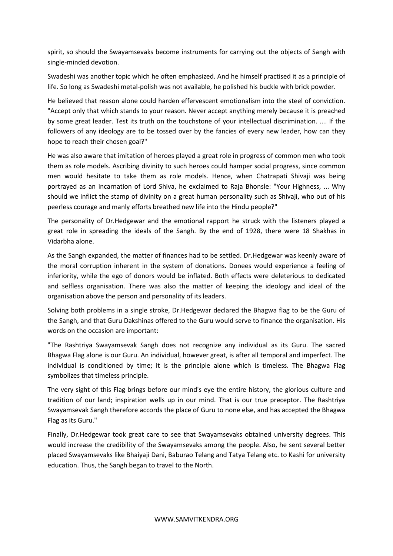spirit, so should the Swayamsevaks become instruments for carrying out the objects of Sangh with single-minded devotion.

Swadeshi was another topic which he often emphasized. And he himself practised it as a principle of life. So long as Swadeshi metal-polish was not available, he polished his buckle with brick powder.

He believed that reason alone could harden effervescent emotionalism into the steel of conviction. "Accept only that which stands to your reason. Never accept anything merely because it is preached by some great leader. Test its truth on the touchstone of your intellectual discrimination. .... If the followers of any ideology are to be tossed over by the fancies of every new leader, how can they hope to reach their chosen goal?"

He was also aware that imitation of heroes played a great role in progress of common men who took them as role models. Ascribing divinity to such heroes could hamper social progress, since common men would hesitate to take them as role models. Hence, when Chatrapati Shivaji was being portrayed as an incarnation of Lord Shiva, he exclaimed to Raja Bhonsle: "Your Highness, ... Why should we inflict the stamp of divinity on a great human personality such as Shivaji, who out of his peerless courage and manly efforts breathed new life into the Hindu people?"

The personality of Dr.Hedgewar and the emotional rapport he struck with the listeners played a great role in spreading the ideals of the Sangh. By the end of 1928, there were 18 Shakhas in Vidarbha alone.

As the Sangh expanded, the matter of finances had to be settled. Dr.Hedgewar was keenly aware of the moral corruption inherent in the system of donations. Donees would experience a feeling of inferiority, while the ego of donors would be inflated. Both effects were deleterious to dedicated and selfless organisation. There was also the matter of keeping the ideology and ideal of the organisation above the person and personality of its leaders.

Solving both problems in a single stroke, Dr.Hedgewar declared the Bhagwa flag to be the Guru of the Sangh, and that Guru Dakshinas offered to the Guru would serve to finance the organisation. His words on the occasion are important:

"The Rashtriya Swayamsevak Sangh does not recognize any individual as its Guru. The sacred Bhagwa Flag alone is our Guru. An individual, however great, is after all temporal and imperfect. The individual is conditioned by time; it is the principle alone which is timeless. The Bhagwa Flag symbolizes that timeless principle.

The very sight of this Flag brings before our mind's eye the entire history, the glorious culture and tradition of our land; inspiration wells up in our mind. That is our true preceptor. The Rashtriya Swayamsevak Sangh therefore accords the place of Guru to none else, and has accepted the Bhagwa Flag as its Guru."

Finally, Dr.Hedgewar took great care to see that Swayamsevaks obtained university degrees. This would increase the credibility of the Swayamsevaks among the people. Also, he sent several better placed Swayamsevaks like Bhaiyaji Dani, Baburao Telang and Tatya Telang etc. to Kashi for university education. Thus, the Sangh began to travel to the North.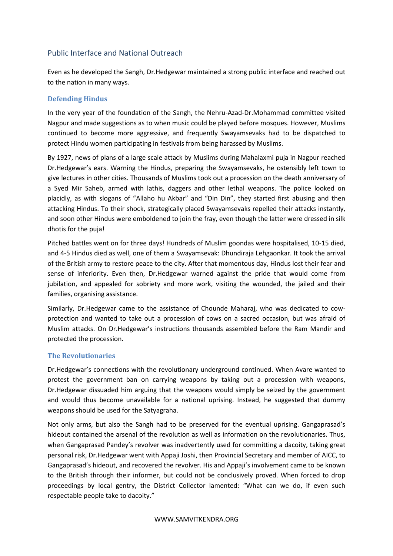# Public Interface and National Outreach

Even as he developed the Sangh, Dr.Hedgewar maintained a strong public interface and reached out to the nation in many ways.

#### **Defending Hindus**

In the very year of the foundation of the Sangh, the Nehru-Azad-Dr.Mohammad committee visited Nagpur and made suggestions as to when music could be played before mosques. However, Muslims continued to become more aggressive, and frequently Swayamsevaks had to be dispatched to protect Hindu women participating in festivals from being harassed by Muslims.

By 1927, news of plans of a large scale attack by Muslims during Mahalaxmi puja in Nagpur reached Dr.Hedgewar's ears. Warning the Hindus, preparing the Swayamsevaks, he ostensibly left town to give lectures in other cities. Thousands of Muslims took out a procession on the death anniversary of a Syed Mir Saheb, armed with lathis, daggers and other lethal weapons. The police looked on placidly, as with slogans of "Allaho hu Akbar" and "Din Din", they started first abusing and then attacking Hindus. To their shock, strategically placed Swayamsevaks repelled their attacks instantly, and soon other Hindus were emboldened to join the fray, even though the latter were dressed in silk dhotis for the puja!

Pitched battles went on for three days! Hundreds of Muslim goondas were hospitalised, 10-15 died, and 4-5 Hindus died as well, one of them a Swayamsevak: Dhundiraja Lehgaonkar. It took the arrival of the British army to restore peace to the city. After that momentous day, Hindus lost their fear and sense of inferiority. Even then, Dr.Hedgewar warned against the pride that would come from jubilation, and appealed for sobriety and more work, visiting the wounded, the jailed and their families, organising assistance.

Similarly, Dr.Hedgewar came to the assistance of Chounde Maharaj, who was dedicated to cowprotection and wanted to take out a procession of cows on a sacred occasion, but was afraid of Muslim attacks. On Dr.Hedgewar's instructions thousands assembled before the Ram Mandir and protected the procession.

#### **The Revolutionaries**

Dr.Hedgewar's connections with the revolutionary underground continued. When Avare wanted to protest the government ban on carrying weapons by taking out a procession with weapons, Dr.Hedgewar dissuaded him arguing that the weapons would simply be seized by the government and would thus become unavailable for a national uprising. Instead, he suggested that dummy weapons should be used for the Satyagraha.

Not only arms, but also the Sangh had to be preserved for the eventual uprising. Gangaprasad's hideout contained the arsenal of the revolution as well as information on the revolutionaries. Thus, when Gangaprasad Pandey's revolver was inadvertently used for committing a dacoity, taking great personal risk, Dr.Hedgewar went with Appaji Joshi, then Provincial Secretary and member of AICC, to Gangaprasad's hideout, and recovered the revolver. His and Appaji's involvement came to be known to the British through their informer, but could not be conclusively proved. When forced to drop proceedings by local gentry, the District Collector lamented: "What can we do, if even such respectable people take to dacoity."

#### WWW.SAMVITKENDRA.ORG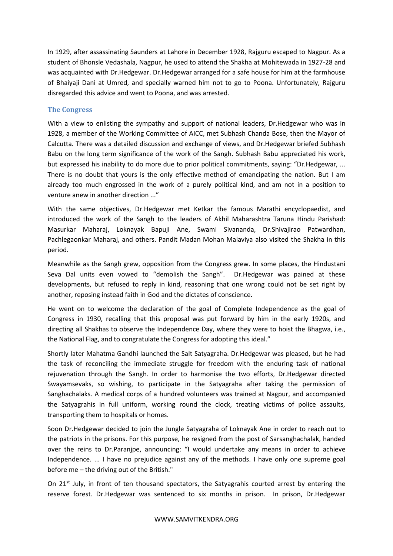In 1929, after assassinating Saunders at Lahore in December 1928, Rajguru escaped to Nagpur. As a student of Bhonsle Vedashala, Nagpur, he used to attend the Shakha at Mohitewada in 1927-28 and was acquainted with Dr.Hedgewar. Dr.Hedgewar arranged for a safe house for him at the farmhouse of Bhaiyaji Dani at Umred, and specially warned him not to go to Poona. Unfortunately, Rajguru disregarded this advice and went to Poona, and was arrested.

#### **The Congress**

With a view to enlisting the sympathy and support of national leaders, Dr.Hedgewar who was in 1928, a member of the Working Committee of AICC, met Subhash Chanda Bose, then the Mayor of Calcutta. There was a detailed discussion and exchange of views, and Dr.Hedgewar briefed Subhash Babu on the long term significance of the work of the Sangh. Subhash Babu appreciated his work, but expressed his inability to do more due to prior political commitments, saying: "Dr.Hedgewar, ... There is no doubt that yours is the only effective method of emancipating the nation. But I am already too much engrossed in the work of a purely political kind, and am not in a position to venture anew in another direction ..."

With the same objectives, Dr.Hedgewar met Ketkar the famous Marathi encyclopaedist, and introduced the work of the Sangh to the leaders of Akhil Maharashtra Taruna Hindu Parishad: Masurkar Maharaj, Loknayak Bapuji Ane, Swami Sivananda, Dr.Shivajirao Patwardhan, Pachlegaonkar Maharaj, and others. Pandit Madan Mohan Malaviya also visited the Shakha in this period.

Meanwhile as the Sangh grew, opposition from the Congress grew. In some places, the Hindustani Seva Dal units even vowed to "demolish the Sangh". Dr.Hedgewar was pained at these developments, but refused to reply in kind, reasoning that one wrong could not be set right by another, reposing instead faith in God and the dictates of conscience.

He went on to welcome the declaration of the goal of Complete Independence as the goal of Congress in 1930, recalling that this proposal was put forward by him in the early 1920s, and directing all Shakhas to observe the Independence Day, where they were to hoist the Bhagwa, i.e., the National Flag, and to congratulate the Congress for adopting this ideal."

Shortly later Mahatma Gandhi launched the Salt Satyagraha. Dr.Hedgewar was pleased, but he had the task of reconciling the immediate struggle for freedom with the enduring task of national rejuvenation through the Sangh. In order to harmonise the two efforts, Dr.Hedgewar directed Swayamsevaks, so wishing, to participate in the Satyagraha after taking the permission of Sanghachalaks. A medical corps of a hundred volunteers was trained at Nagpur, and accompanied the Satyagrahis in full uniform, working round the clock, treating victims of police assaults, transporting them to hospitals or homes.

Soon Dr.Hedgewar decided to join the Jungle Satyagraha of Loknayak Ane in order to reach out to the patriots in the prisons. For this purpose, he resigned from the post of Sarsanghachalak, handed over the reins to Dr.Paranjpe, announcing: "I would undertake any means in order to achieve Independence. ... I have no prejudice against any of the methods. I have only one supreme goal before me – the driving out of the British."

On 21<sup>st</sup> July, in front of ten thousand spectators, the Satyagrahis courted arrest by entering the reserve forest. Dr.Hedgewar was sentenced to six months in prison. In prison, Dr.Hedgewar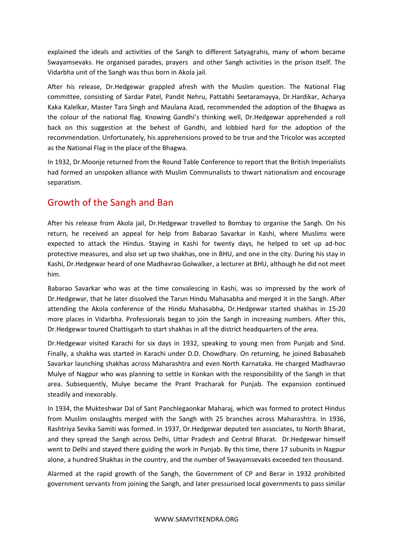explained the ideals and activities of the Sangh to different Satyagrahis, many of whom became Swayamsevaks. He organised parades, prayers and other Sangh activities in the prison itself. The Vidarbha unit of the Sangh was thus born in Akola jail.

After his release, Dr.Hedgewar grappled afresh with the Muslim question. The National Flag committee, consisting of Sardar Patel, Pandit Nehru, Pattabhi Seetaramayya, Dr.Hardikar, Acharya Kaka Kalelkar, Master Tara Singh and Maulana Azad, recommended the adoption of the Bhagwa as the colour of the national flag. Knowing Gandhi's thinking well, Dr.Hedgewar apprehended a roll back on this suggestion at the behest of Gandhi, and lobbied hard for the adoption of the recommendation. Unfortunately, his apprehensions proved to be true and the Tricolor was accepted as the National Flag in the place of the Bhagwa.

In 1932, Dr.Moonje returned from the Round Table Conference to report that the British Imperialists had formed an unspoken alliance with Muslim Communalists to thwart nationalism and encourage separatism.

# Growth of the Sangh and Ban

After his release from Akola jail, Dr.Hedgewar travelled to Bombay to organise the Sangh. On his return, he received an appeal for help from Babarao Savarkar in Kashi, where Muslims were expected to attack the Hindus. Staying in Kashi for twenty days, he helped to set up ad-hoc protective measures, and also set up two shakhas, one in BHU, and one in the city. During his stay in Kashi, Dr.Hedgewar heard of one Madhavrao Golwalker, a lecturer at BHU, although he did not meet him.

Babarao Savarkar who was at the time convalescing in Kashi, was so impressed by the work of Dr.Hedgewar, that he later dissolved the Tarun Hindu Mahasabha and merged it in the Sangh. After attending the Akola conference of the Hindu Mahasabha, Dr.Hedgewar started shakhas in 15-20 more places in Vidarbha. Professionals began to join the Sangh in increasing numbers. After this, Dr.Hedgewar toured Chattisgarh to start shakhas in all the district headquarters of the area.

Dr.Hedgewar visited Karachi for six days in 1932, speaking to young men from Punjab and Sind. Finally, a shakha was started in Karachi under D.D. Chowdhary. On returning, he joined Babasaheb Savarkar launching shakhas across Maharashtra and even North Karnataka. He charged Madhavrao Mulye of Nagpur who was planning to settle in Konkan with the responsibility of the Sangh in that area. Subsequently, Mulye became the Prant Pracharak for Punjab. The expansion continued steadily and inexorably.

In 1934, the Mukteshwar Dal of Sant Panchlegaonkar Maharaj, which was formed to protect Hindus from Muslim onslaughts merged with the Sangh with 25 branches across Maharashtra. In 1936, Rashtriya Sevika Samiti was formed. In 1937, Dr.Hedgewar deputed ten associates, to North Bharat, and they spread the Sangh across Delhi, Uttar Pradesh and Central Bharat. Dr.Hedgewar himself went to Delhi and stayed there guiding the work in Punjab. By this time, there 17 subunits in Nagpur alone, a hundred Shakhas in the country, and the number of Swayamsevaks exceeded ten thousand.

Alarmed at the rapid growth of the Sangh, the Government of CP and Berar in 1932 prohibited government servants from joining the Sangh, and later pressurised local governments to pass similar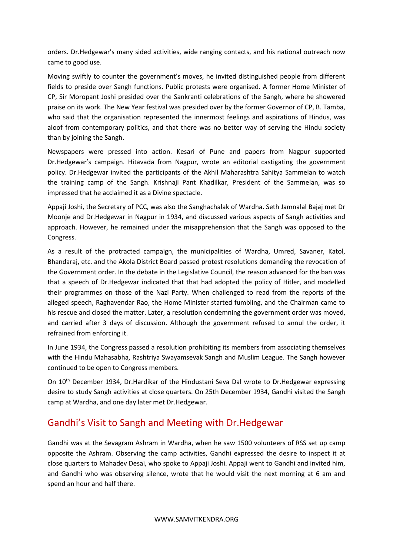orders. Dr.Hedgewar's many sided activities, wide ranging contacts, and his national outreach now came to good use.

Moving swiftly to counter the government's moves, he invited distinguished people from different fields to preside over Sangh functions. Public protests were organised. A former Home Minister of CP, Sir Moropant Joshi presided over the Sankranti celebrations of the Sangh, where he showered praise on its work. The New Year festival was presided over by the former Governor of CP, B. Tamba, who said that the organisation represented the innermost feelings and aspirations of Hindus, was aloof from contemporary politics, and that there was no better way of serving the Hindu society than by joining the Sangh.

Newspapers were pressed into action. Kesari of Pune and papers from Nagpur supported Dr.Hedgewar's campaign. Hitavada from Nagpur, wrote an editorial castigating the government policy. Dr.Hedgewar invited the participants of the Akhil Maharashtra Sahitya Sammelan to watch the training camp of the Sangh. Krishnaji Pant Khadilkar, President of the Sammelan, was so impressed that he acclaimed it as a Divine spectacle.

Appaji Joshi, the Secretary of PCC, was also the Sanghachalak of Wardha. Seth Jamnalal Bajaj met Dr Moonje and Dr.Hedgewar in Nagpur in 1934, and discussed various aspects of Sangh activities and approach. However, he remained under the misapprehension that the Sangh was opposed to the Congress.

As a result of the protracted campaign, the municipalities of Wardha, Umred, Savaner, Katol, Bhandaraj, etc. and the Akola District Board passed protest resolutions demanding the revocation of the Government order. In the debate in the Legislative Council, the reason advanced for the ban was that a speech of Dr.Hedgewar indicated that that had adopted the policy of Hitler, and modelled their programmes on those of the Nazi Party. When challenged to read from the reports of the alleged speech, Raghavendar Rao, the Home Minister started fumbling, and the Chairman came to his rescue and closed the matter. Later, a resolution condemning the government order was moved, and carried after 3 days of discussion. Although the government refused to annul the order, it refrained from enforcing it.

In June 1934, the Congress passed a resolution prohibiting its members from associating themselves with the Hindu Mahasabha, Rashtriya Swayamsevak Sangh and Muslim League. The Sangh however continued to be open to Congress members.

On 10<sup>th</sup> December 1934, Dr.Hardikar of the Hindustani Seva Dal wrote to Dr.Hedgewar expressing desire to study Sangh activities at close quarters. On 25th December 1934, Gandhi visited the Sangh camp at Wardha, and one day later met Dr.Hedgewar.

# Gandhi's Visit to Sangh and Meeting with Dr.Hedgewar

Gandhi was at the Sevagram Ashram in Wardha, when he saw 1500 volunteers of RSS set up camp opposite the Ashram. Observing the camp activities, Gandhi expressed the desire to inspect it at close quarters to Mahadev Desai, who spoke to Appaji Joshi. Appaji went to Gandhi and invited him, and Gandhi who was observing silence, wrote that he would visit the next morning at 6 am and spend an hour and half there.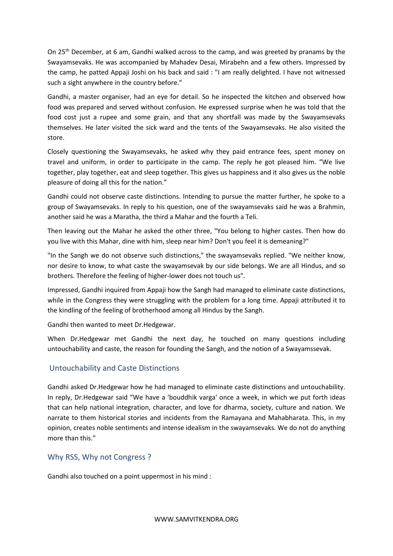On 25<sup>th</sup> December, at 6 am, Gandhi walked across to the camp, and was greeted by pranams by the Swayamsevaks. He was accompanied by Mahadev Desai, Mirabehn and a few others. Impressed by the camp, he patted Appaji Joshi on his back and said : "I am really delighted. I have not witnessed such a sight anywhere in the country before."

Gandhi, a master organiser, had an eye for detail. So he inspected the kitchen and observed how food was prepared and served without confusion. He expressed surprise when he was told that the food cost just a rupee and some grain, and that any shortfall was made by the Swayamsevaks themselves. He later visited the sick ward and the tents of the Swayamsevaks. He also visited the store.

Closely questioning the Swayamsevaks, he asked why they paid entrance fees, spent money on travel and uniform, in order to participate in the camp. The reply he got pleased him. "We live together, play together, eat and sleep together. This gives us happiness and it also gives us the noble pleasure of doing all this for the nation."

Gandhi could not observe caste distinctions. Intending to pursue the matter further, he spoke to a group of Swayamsevaks. In reply to his question, one of the swayamsevaks said he was a Brahmin, another said he was a Maratha, the third a Mahar and the fourth a Teli.

Then leaving out the Mahar he asked the other three, "You belong to higher castes. Then how do you live with this Mahar, dine with him, sleep near him? Don't you feel it is demeaning?"

"In the Sangh we do not observe such distinctions," the swayamsevaks replied. "We neither know, nor desire to know, to what caste the swayamsevak by our side belongs. We are all Hindus, and so brothers. Therefore the feeling of higher-lower does not touch us".

Impressed, Gandhi inquired from Appaji how the Sangh had managed to eliminate caste distinctions, while in the Congress they were struggling with the problem for a long time. Appaji attributed it to the kindling of the feeling of brotherhood among all Hindus by the Sangh.

Gandhi then wanted to meet Dr.Hedgewar.

When Dr.Hedgewar met Gandhi the next day, he touched on many questions including untouchability and caste, the reason for founding the Sangh, and the notion of a Swayamssevak.

# Untouchability and Caste Distinctions

Gandhi asked Dr.Hedgewar how he had managed to eliminate caste distinctions and untouchability. In reply, Dr.Hedgewar said "We have a 'bouddhik varga' once a week, in which we put forth ideas that can help national integration, character, and love for dharma, society, culture and nation. We narrate to them historical stories and incidents from the Ramayana and Mahabharata. This, in my opinion, creates noble sentiments and intense idealism in the swayamsevaks. We do not do anything more than this."

# Why RSS, Why not Congress ?

Gandhi also touched on a point uppermost in his mind :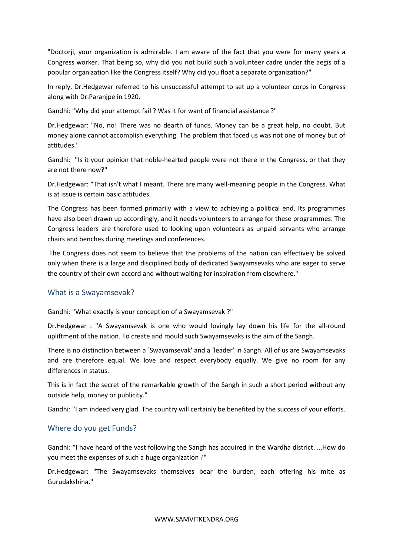"Doctorji, your organization is admirable. I am aware of the fact that you were for many years a Congress worker. That being so, why did you not build such a volunteer cadre under the aegis of a popular organization like the Congress itself? Why did you float a separate organization?"

In reply, Dr.Hedgewar referred to his unsuccessful attempt to set up a volunteer corps in Congress along with Dr.Paranjpe in 1920.

Gandhi: "Why did your attempt fail ? Was it for want of financial assistance ?"

Dr.Hedgewar: "No, no! There was no dearth of funds. Money can be a great help, no doubt. But money alone cannot accomplish everything. The problem that faced us was not one of money but of attitudes."

Gandhi: "Is it your opinion that noble-hearted people were not there in the Congress, or that they are not there now?"

Dr.Hedgewar: "That isn't what I meant. There are many well-meaning people in the Congress. What is at issue is certain basic attitudes.

The Congress has been formed primarily with a view to achieving a political end. Its programmes have also been drawn up accordingly, and it needs volunteers to arrange for these programmes. The Congress leaders are therefore used to looking upon volunteers as unpaid servants who arrange chairs and benches during meetings and conferences.

The Congress does not seem to believe that the problems of the nation can effectively be solved only when there is a large and disciplined body of dedicated Swayamsevaks who are eager to serve the country of their own accord and without waiting for inspiration from elsewhere."

#### What is a Swayamsevak?

Gandhi: "What exactly is your conception of a Swayamsevak ?"

Dr.Hedgewar : "A Swayamsevak is one who would lovingly lay down his life for the all-round upliftment of the nation. To create and mould such Swayamsevaks is the aim of the Sangh.

There is no distinction between a `Swayamsevak' and a 'leader' in Sangh. All of us are Swayamsevaks and are therefore equal. We love and respect everybody equally. We give no room for any differences in status.

This is in fact the secret of the remarkable growth of the Sangh in such a short period without any outside help, money or publicity."

Gandhi: "I am indeed very glad. The country will certainly be benefited by the success of your efforts.

#### Where do you get Funds?

Gandhi: "I have heard of the vast following the Sangh has acquired in the Wardha district. ...How do you meet the expenses of such a huge organization ?"

Dr.Hedgewar: "The Swayamsevaks themselves bear the burden, each offering his mite as Gurudakshina."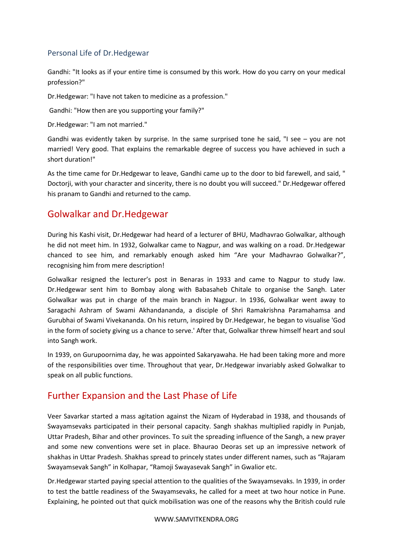# Personal Life of Dr.Hedgewar

Gandhi: "It looks as if your entire time is consumed by this work. How do you carry on your medical profession?"

Dr.Hedgewar: "I have not taken to medicine as a profession."

Gandhi: "How then are you supporting your family?"

Dr.Hedgewar: "I am not married."

Gandhi was evidently taken by surprise. In the same surprised tone he said, "I see – you are not married! Very good. That explains the remarkable degree of success you have achieved in such a short duration!"

As the time came for Dr.Hedgewar to leave, Gandhi came up to the door to bid farewell, and said, " Doctorji, with your character and sincerity, there is no doubt you will succeed." Dr.Hedgewar offered his pranam to Gandhi and returned to the camp.

# Golwalkar and Dr.Hedgewar

During his Kashi visit, Dr.Hedgewar had heard of a lecturer of BHU, Madhavrao Golwalkar, although he did not meet him. In 1932, Golwalkar came to Nagpur, and was walking on a road. Dr.Hedgewar chanced to see him, and remarkably enough asked him "Are your Madhavrao Golwalkar?", recognising him from mere description!

Golwalkar resigned the lecturer's post in Benaras in 1933 and came to Nagpur to study law. Dr.Hedgewar sent him to Bombay along with Babasaheb Chitale to organise the Sangh. Later Golwalkar was put in charge of the main branch in Nagpur. In 1936, Golwalkar went away to Saragachi Ashram of Swami Akhandananda, a disciple of Shri Ramakrishna Paramahamsa and Gurubhai of Swami Vivekananda. On his return, inspired by Dr.Hedgewar, he began to visualise 'God in the form of society giving us a chance to serve.' After that, Golwalkar threw himself heart and soul into Sangh work.

In 1939, on Gurupoornima day, he was appointed Sakaryawaha. He had been taking more and more of the responsibilities over time. Throughout that year, Dr.Hedgewar invariably asked Golwalkar to speak on all public functions.

# Further Expansion and the Last Phase of Life

Veer Savarkar started a mass agitation against the Nizam of Hyderabad in 1938, and thousands of Swayamsevaks participated in their personal capacity. Sangh shakhas multiplied rapidly in Punjab, Uttar Pradesh, Bihar and other provinces. To suit the spreading influence of the Sangh, a new prayer and some new conventions were set in place. Bhaurao Deoras set up an impressive network of shakhas in Uttar Pradesh. Shakhas spread to princely states under different names, such as "Rajaram Swayamsevak Sangh" in Kolhapar, "Ramoji Swayasevak Sangh" in Gwalior etc.

Dr.Hedgewar started paying special attention to the qualities of the Swayamsevaks. In 1939, in order to test the battle readiness of the Swayamsevaks, he called for a meet at two hour notice in Pune. Explaining, he pointed out that quick mobilisation was one of the reasons why the British could rule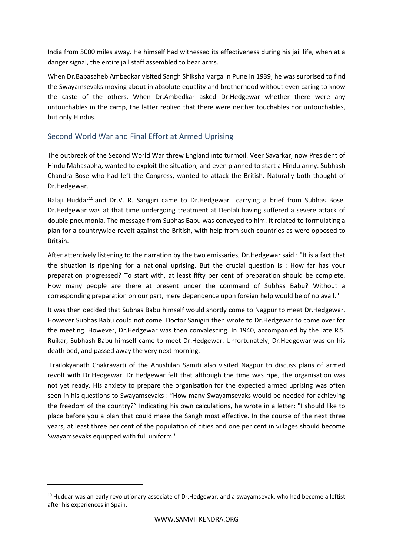India from 5000 miles away. He himself had witnessed its effectiveness during his jail life, when at a danger signal, the entire jail staff assembled to bear arms.

When Dr.Babasaheb Ambedkar visited Sangh Shiksha Varga in Pune in 1939, he was surprised to find the Swayamsevaks moving about in absolute equality and brotherhood without even caring to know the caste of the others. When Dr.Ambedkar asked Dr.Hedgewar whether there were any untouchables in the camp, the latter replied that there were neither touchables nor untouchables, but only Hindus.

# Second World War and Final Effort at Armed Uprising

The outbreak of the Second World War threw England into turmoil. Veer Savarkar, now President of Hindu Mahasabha, wanted to exploit the situation, and even planned to start a Hindu army. Subhash Chandra Bose who had left the Congress, wanted to attack the British. Naturally both thought of Dr.Hedgewar.

Balaji Huddar<sup>10</sup> and Dr.V. R. Sanjgiri came to Dr.Hedgewar carrying a brief from Subhas Bose. Dr.Hedgewar was at that time undergoing treatment at Deolali having suffered a severe attack of double pneumonia. The message from Subhas Babu was conveyed to him. It related to formulating a plan for a countrywide revolt against the British, with help from such countries as were opposed to Britain.

After attentively listening to the narration by the two emissaries, Dr.Hedgewar said : "It is a fact that the situation is ripening for a national uprising. But the crucial question is : How far has your preparation progressed? To start with, at least fifty per cent of preparation should be complete. How many people are there at present under the command of Subhas Babu? Without a corresponding preparation on our part, mere dependence upon foreign help would be of no avail."

It was then decided that Subhas Babu himself would shortly come to Nagpur to meet Dr.Hedgewar. However Subhas Babu could not come. Doctor Sanigiri then wrote to Dr.Hedgewar to come over for the meeting. However, Dr.Hedgewar was then convalescing. In 1940, accompanied by the late R.S. Ruikar, Subhash Babu himself came to meet Dr.Hedgewar. Unfortunately, Dr.Hedgewar was on his death bed, and passed away the very next morning.

Trailokyanath Chakravarti of the Anushilan Samiti also visited Nagpur to discuss plans of armed revolt with Dr.Hedgewar. Dr.Hedgewar felt that although the time was ripe, the organisation was not yet ready. His anxiety to prepare the organisation for the expected armed uprising was often seen in his questions to Swayamsevaks : "How many Swayamsevaks would be needed for achieving the freedom of the country?" Indicating his own calculations, he wrote in a letter: "I should like to place before you a plan that could make the Sangh most effective. In the course of the next three years, at least three per cent of the population of cities and one per cent in villages should become Swayamsevaks equipped with full uniform."

<sup>&</sup>lt;sup>10</sup> Huddar was an early revolutionary associate of Dr.Hedgewar, and a swayamsevak, who had become a leftist after his experiences in Spain.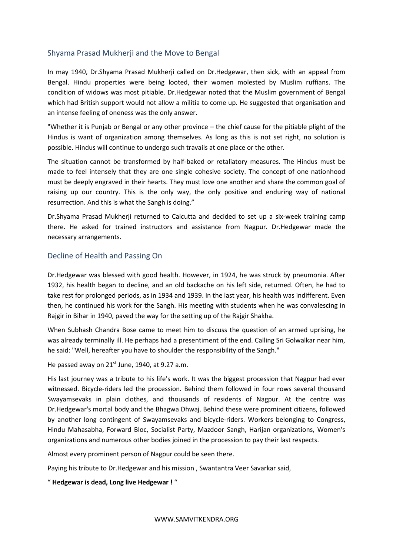# Shyama Prasad Mukherji and the Move to Bengal

In may 1940, Dr.Shyama Prasad Mukherji called on Dr.Hedgewar, then sick, with an appeal from Bengal. Hindu properties were being looted, their women molested by Muslim ruffians. The condition of widows was most pitiable. Dr.Hedgewar noted that the Muslim government of Bengal which had British support would not allow a militia to come up. He suggested that organisation and an intense feeling of oneness was the only answer.

"Whether it is Punjab or Bengal or any other province – the chief cause for the pitiable plight of the Hindus is want of organization among themselves. As long as this is not set right, no solution is possible. Hindus will continue to undergo such travails at one place or the other.

The situation cannot be transformed by half-baked or retaliatory measures. The Hindus must be made to feel intensely that they are one single cohesive society. The concept of one nationhood must be deeply engraved in their hearts. They must love one another and share the common goal of raising up our country. This is the only way, the only positive and enduring way of national resurrection. And this is what the Sangh is doing."

Dr.Shyama Prasad Mukherji returned to Calcutta and decided to set up a six-week training camp there. He asked for trained instructors and assistance from Nagpur. Dr.Hedgewar made the necessary arrangements.

## Decline of Health and Passing On

Dr.Hedgewar was blessed with good health. However, in 1924, he was struck by pneumonia. After 1932, his health began to decline, and an old backache on his left side, returned. Often, he had to take rest for prolonged periods, as in 1934 and 1939. In the last year, his health was indifferent. Even then, he continued his work for the Sangh. His meeting with students when he was convalescing in Rajgir in Bihar in 1940, paved the way for the setting up of the Rajgir Shakha.

When Subhash Chandra Bose came to meet him to discuss the question of an armed uprising, he was already terminally ill. He perhaps had a presentiment of the end. Calling Sri Golwalkar near him, he said: "Well, hereafter you have to shoulder the responsibility of the Sangh."

He passed away on 21<sup>st</sup> June, 1940, at 9.27 a.m.

His last journey was a tribute to his life's work. It was the biggest procession that Nagpur had ever witnessed. Bicycle-riders led the procession. Behind them followed in four rows several thousand Swayamsevaks in plain clothes, and thousands of residents of Nagpur. At the centre was Dr.Hedgewar's mortal body and the Bhagwa Dhwaj. Behind these were prominent citizens, followed by another long contingent of Swayamsevaks and bicycle-riders. Workers belonging to Congress, Hindu Mahasabha, Forward Bloc, Socialist Party, Mazdoor Sangh, Harijan organizations, Women's organizations and numerous other bodies joined in the procession to pay their last respects.

Almost every prominent person of Nagpur could be seen there.

Paying his tribute to Dr.Hedgewar and his mission , Swantantra Veer Savarkar said,

" **Hedgewar is dead, Long live Hedgewar !** "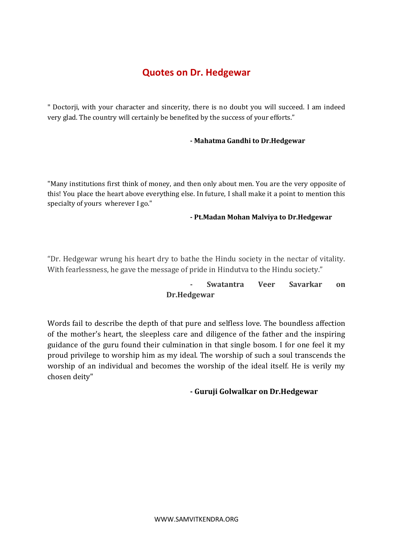# **Quotes on Dr. Hedgewar**

" Doctorji, with your character and sincerity, there is no doubt you will succeed. I am indeed very glad. The country will certainly be benefited by the success of your efforts."

## **- Mahatma Gandhi to Dr.Hedgewar**

"Many institutions first think of money, and then only about men. You are the very opposite of this! You place the heart above everything else. In future, I shall make it a point to mention this specialty of yours wherever I go."

#### **- Pt.Madan Mohan Malviya to Dr.Hedgewar**

"Dr. Hedgewar wrung his heart dry to bathe the Hindu society in the nectar of vitality. With fearlessness, he gave the message of pride in Hindutva to the Hindu society."

# **- Swatantra Veer Savarkar on Dr.Hedgewar**

Words fail to describe the depth of that pure and selfless love. The boundless affection of the mother's heart, the sleepless care and diligence of the father and the inspiring guidance of the guru found their culmination in that single bosom. I for one feel it my proud privilege to worship him as my ideal. The worship of such a soul transcends the worship of an individual and becomes the worship of the ideal itself. He is verily my chosen deity"

# **- Guruji Golwalkar on Dr.Hedgewar**